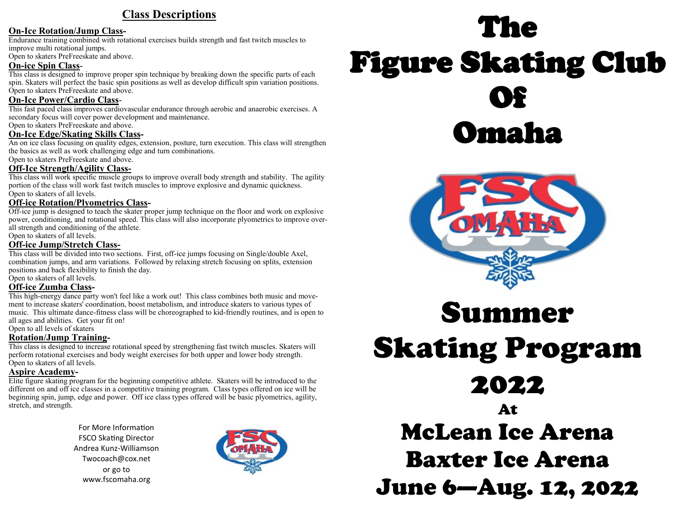#### **Class Descriptions**

#### **On-Ice Rotation/Jump Class-**

Endurance training combined with rotational exercises builds strength and fast twitch muscles to improve multi rotational jumps.

Open to skaters PreFreeskate and above.

#### **On-ice Spin Class**-

This class is designed to improve proper spin technique by breaking down the specific parts of each spin. Skaters will perfect the basic spin positions as well as develop difficult spin variation positions. Open to skaters PreFreeskate and above.

#### **On-Ice Power/Cardio Class**-

This fast paced class improves cardiovascular endurance through aerobic and anaerobic exercises. A secondary focus will cover power development and maintenance.

Open to skaters PreFreeskate and above.

#### **On-Ice Edge/Skating Skills Class-**

An on ice class focusing on quality edges, extension, posture, turn execution. This class will strengthen the basics as well as work challenging edge and turn combinations.

Open to skaters PreFreeskate and above.

#### **Off-Ice Strength/Agility Class-**

This class will work specific muscle groups to improve overall body strength and stability. The agility portion of the class will work fast twitch muscles to improve explosive and dynamic quickness. Open to skaters of all levels.

#### **Off-ice Rotation/Plyometrics Class-**

Off-ice jump is designed to teach the skater proper jump technique on the floor and work on explosive power, conditioning, and rotational speed. This class will also incorporate plyometrics to improve overall strength and conditioning of the athlete.

Open to skaters of all levels.

#### **Off-ice Jump/Stretch Class-**

This class will be divided into two sections. First, off-ice jumps focusing on Single/double Axel, combination jumps, and arm variations. Followed by relaxing stretch focusing on splits, extension positions and back flexibility to finish the day.

Open to skaters of all levels.

#### **Off-ice Zumba Class-**

This high-energy dance party won't feel like a work out! This class combines both music and movement to increase skaters' coordination, boost metabolism, and introduce skaters to various types of music. This ultimate dance-fitness class will be choreographed to kid-friendly routines, and is open to all ages and abilities. Get your fit on! Open to all levels of skaters

**Rotation/Jump Training-**

This class is designed to increase rotational speed by strengthening fast twitch muscles. Skaters will perform rotational exercises and body weight exercises for both upper and lower body strength. Open to skaters of all levels.

#### **Aspire Academy-**

Elite figure skating program for the beginning competitive athlete. Skaters will be introduced to the different on and off ice classes in a competitive training program. Class types offered on ice will be beginning spin, jump, edge and power. Off ice class types offered will be basic plyometrics, agility, stretch, and strength.

> For More Information **FSCO Skating Director** Andrea Kunz-Williamson Twocoach@cox.net or go to www.fscomaha.org



# The Figure Skating Club Of Omaha



## Summer Skating Program 2022 At McLean Ice Arena Baxter Ice Arena June 6—Aug. 12, 2022